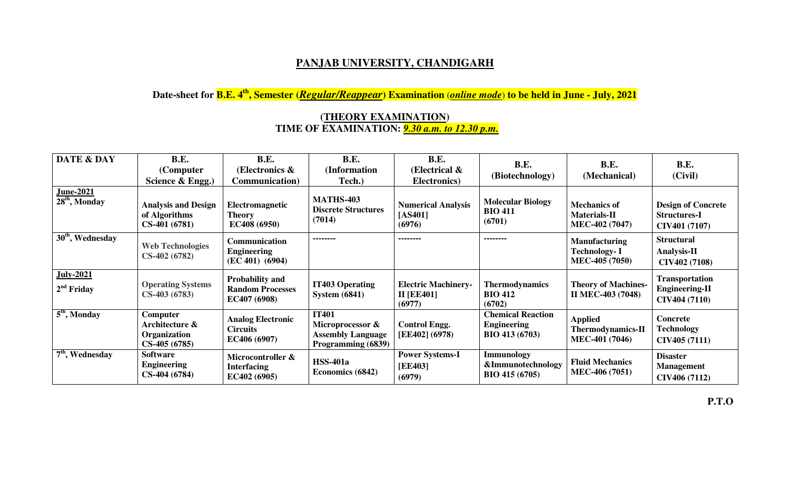## **PANJAB UNIVERSITY, CHANDIGARH**

**Date-sheet for B.E. 4th, Semester (***Regular/Reappear***) Examination** (*online mode*) **to be held in June - July, 2021** 

## **(THEORY EXAMINATION) TIME OF EXAMINATION:** *9.30 a.m. to 12.30 p.m.*

| <b>DATE &amp; DAY</b>               | B.E.<br>(Computer<br>Science & Engg.)                               | <b>B.E.</b><br>(Electronics &<br><b>Communication</b> )           | <b>B.E.</b><br>(Information<br>Tech.)                                              | B.E.<br>(Electrical $\&$<br>Electronics)                  | <b>B.E.</b><br>(Biotechnology)                                          | <b>B.E.</b><br>(Mechanical)                                          | <b>B.E.</b><br>(Civil)                                            |
|-------------------------------------|---------------------------------------------------------------------|-------------------------------------------------------------------|------------------------------------------------------------------------------------|-----------------------------------------------------------|-------------------------------------------------------------------------|----------------------------------------------------------------------|-------------------------------------------------------------------|
| <u>June-2021</u><br>$28th$ , Monday | <b>Analysis and Design</b><br>of Algorithms<br>$CS-401(6781)$       | Electromagnetic<br><b>Theory</b><br>EC408 (6950)                  | <b>MATHS-403</b><br><b>Discrete Structures</b><br>(7014)                           | <b>Numerical Analysis</b><br>$[AS401]$<br>(6976)          | <b>Molecular Biology</b><br><b>BIO 411</b><br>(6701)                    | <b>Mechanics of</b><br><b>Materials-II</b><br>MEC-402 (7047)         | <b>Design of Concrete</b><br><b>Structures-I</b><br>CIV401 (7107) |
| $\overline{30^{th}}$ , Wednesday    | <b>Web Technologies</b><br>$CS-402(6782)$                           | Communication<br><b>Engineering</b><br>(EC 401) (6904)            | --------                                                                           | --------                                                  | --------                                                                | <b>Manufacturing</b><br><b>Technology-I</b><br><b>MEC-405 (7050)</b> | <b>Structural</b><br><b>Analysis-II</b><br>CIV402 (7108)          |
| <b>July-2021</b><br>$2nd$ Friday    | <b>Operating Systems</b><br>$CS-403(6783)$                          | <b>Probability and</b><br><b>Random Processes</b><br>EC407 (6908) | <b>IT403 Operating</b><br><b>System (6841)</b>                                     | <b>Electric Machinery-</b><br><b>II [EE401]</b><br>(6977) | <b>Thermodynamics</b><br><b>BIO 412</b><br>(6702)                       | <b>Theory of Machines-</b><br><b>II MEC-403 (7048)</b>               | Transportation<br><b>Engineering-II</b><br>CIV404 (7110)          |
| $\overline{5}^{\text{th}}$ , Monday | <b>Computer</b><br>Architecture &<br>Organization<br>$CS-405(6785)$ | <b>Analog Electronic</b><br><b>Circuits</b><br>EC406 (6907)       | <b>IT401</b><br>Microprocessor &<br><b>Assembly Language</b><br>Programming (6839) | <b>Control Engg.</b><br>[EE402] (6978)                    | <b>Chemical Reaction</b><br><b>Engineering</b><br><b>BIO 413 (6703)</b> | <b>Applied</b><br><b>Thermodynamics-II</b><br><b>MEC-401 (7046)</b>  | Concrete<br>Technology<br>CIV405 (7111)                           |
| 7 <sup>th</sup> , Wednesday         | <b>Software</b><br><b>Engineering</b><br>CS-404 (6784)              | Microcontroller &<br><b>Interfacing</b><br>EC402(6905)            | <b>HSS-401a</b><br>Economics (6842)                                                | <b>Power Systems-I</b><br>[EE403]<br>(6979)               | <b>Immunology</b><br>&Immunotechnology<br>BIO 415 (6705)                | <b>Fluid Mechanics</b><br>MEC-406 (7051)                             | <b>Disaster</b><br><b>Management</b><br>CIV406 (7112)             |